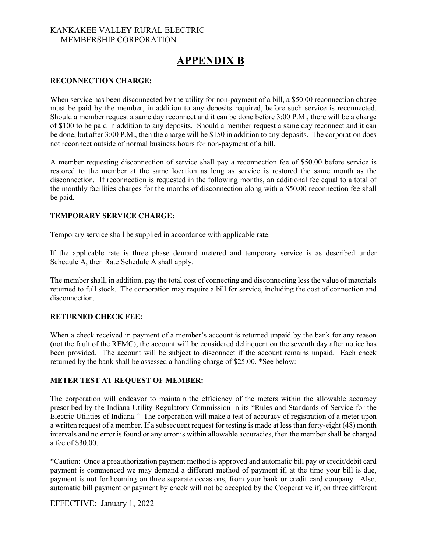### KANKAKEE VALLEY RURAL ELECTRIC MEMBERSHIP CORPORATION

# **APPENDIX B**

#### **RECONNECTION CHARGE:**

When service has been disconnected by the utility for non-payment of a bill, a \$50.00 reconnection charge must be paid by the member, in addition to any deposits required, before such service is reconnected. Should a member request a same day reconnect and it can be done before 3:00 P.M., there will be a charge of \$100 to be paid in addition to any deposits. Should a member request a same day reconnect and it can be done, but after 3:00 P.M., then the charge will be \$150 in addition to any deposits. The corporation does not reconnect outside of normal business hours for non-payment of a bill.

A member requesting disconnection of service shall pay a reconnection fee of \$50.00 before service is restored to the member at the same location as long as service is restored the same month as the disconnection. If reconnection is requested in the following months, an additional fee equal to a total of the monthly facilities charges for the months of disconnection along with a \$50.00 reconnection fee shall be paid.

### **TEMPORARY SERVICE CHARGE:**

Temporary service shall be supplied in accordance with applicable rate.

If the applicable rate is three phase demand metered and temporary service is as described under Schedule A, then Rate Schedule A shall apply.

The member shall, in addition, pay the total cost of connecting and disconnecting less the value of materials returned to full stock. The corporation may require a bill for service, including the cost of connection and disconnection.

### **RETURNED CHECK FEE:**

When a check received in payment of a member's account is returned unpaid by the bank for any reason (not the fault of the REMC), the account will be considered delinquent on the seventh day after notice has been provided. The account will be subject to disconnect if the account remains unpaid. Each check returned by the bank shall be assessed a handling charge of \$25.00. \*See below:

### **METER TEST AT REQUEST OF MEMBER:**

The corporation will endeavor to maintain the efficiency of the meters within the allowable accuracy prescribed by the Indiana Utility Regulatory Commission in its "Rules and Standards of Service for the Electric Utilities of Indiana." The corporation will make a test of accuracy of registration of a meter upon a written request of a member. If a subsequent request for testing is made at less than forty-eight (48) month intervals and no error is found or any error is within allowable accuracies, then the member shall be charged a fee of \$30.00.

\*Caution: Once a preauthorization payment method is approved and automatic bill pay or credit/debit card payment is commenced we may demand a different method of payment if, at the time your bill is due, payment is not forthcoming on three separate occasions, from your bank or credit card company. Also, automatic bill payment or payment by check will not be accepted by the Cooperative if, on three different

EFFECTIVE: January 1, 2022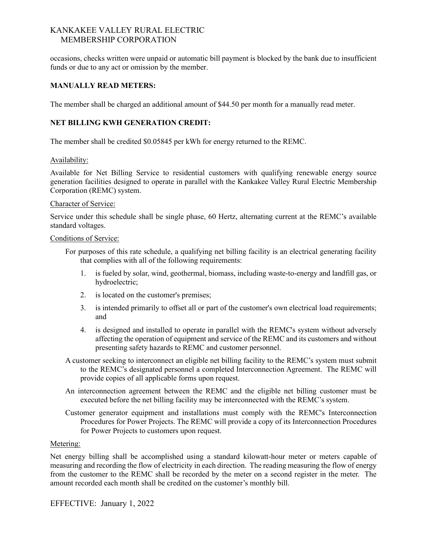## KANKAKEE VALLEY RURAL ELECTRIC MEMBERSHIP CORPORATION

occasions, checks written were unpaid or automatic bill payment is blocked by the bank due to insufficient funds or due to any act or omission by the member.

### **MANUALLY READ METERS:**

The member shall be charged an additional amount of \$44.50 per month for a manually read meter.

## **NET BILLING KWH GENERATION CREDIT:**

The member shall be credited \$0.05845 per kWh for energy returned to the REMC.

### Availability:

Available for Net Billing Service to residential customers with qualifying renewable energy source generation facilities designed to operate in parallel with the Kankakee Valley Rural Electric Membership Corporation (REMC) system.

#### Character of Service:

Service under this schedule shall be single phase, 60 Hertz, alternating current at the REMC's available standard voltages.

#### Conditions of Service:

- For purposes of this rate schedule, a qualifying net billing facility is an electrical generating facility that complies with all of the following requirements:
	- 1. is fueled by solar, wind, geothermal, biomass, including waste-to-energy and landfill gas, or hydroelectric;
	- 2. is located on the customer's premises;
	- 3. is intended primarily to offset all or part of the customer's own electrical load requirements; and
	- 4. is designed and installed to operate in parallel with the REMC's system without adversely affecting the operation of equipment and service of the REMC and its customers and without presenting safety hazards to REMC and customer personnel.
- A customer seeking to interconnect an eligible net billing facility to the REMC's system must submit to the REMC's designated personnel a completed Interconnection Agreement. The REMC will provide copies of all applicable forms upon request.
- An interconnection agreement between the REMC and the eligible net billing customer must be executed before the net billing facility may be interconnected with the REMC's system.
- Customer generator equipment and installations must comply with the REMC's Interconnection Procedures for Power Projects. The REMC will provide a copy of its Interconnection Procedures for Power Projects to customers upon request.

### Metering:

Net energy billing shall be accomplished using a standard kilowatt-hour meter or meters capable of measuring and recording the flow of electricity in each direction. The reading measuring the flow of energy from the customer to the REMC shall be recorded by the meter on a second register in the meter. The amount recorded each month shall be credited on the customer's monthly bill.

EFFECTIVE: January 1, 2022